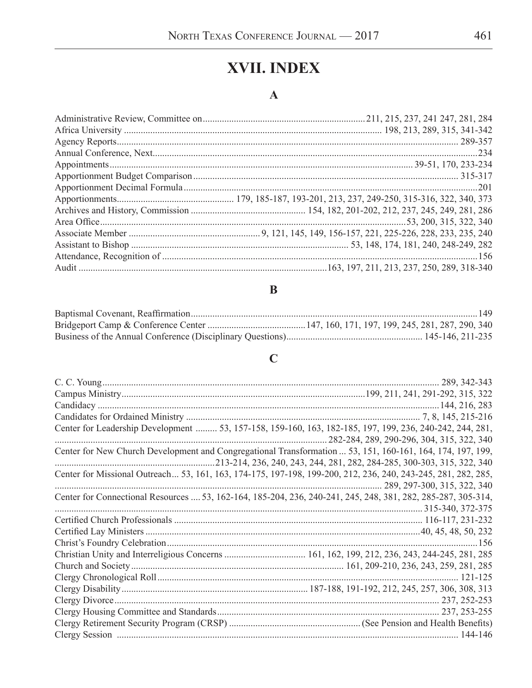# XVII. INDEX

#### $\mathbf{A}$

#### $\bf{B}$

# $\mathbf C$

| Center for Leadership Development  53, 157-158, 159-160, 163, 182-185, 197, 199, 236, 240-242, 244, 281,      |                                           |
|---------------------------------------------------------------------------------------------------------------|-------------------------------------------|
| Center for New Church Development and Congregational Transformation  53, 151, 160-161, 164, 174, 197, 199,    | 282-284, 289, 290-296, 304, 315, 322, 340 |
|                                                                                                               |                                           |
| Center for Missional Outreach 53, 161, 163, 174-175, 197-198, 199-200, 212, 236, 240, 243-245, 281, 282, 285, |                                           |
|                                                                                                               |                                           |
| Center for Connectional Resources  53, 162-164, 185-204, 236, 240-241, 245, 248, 381, 282, 285-287, 305-314,  |                                           |
|                                                                                                               |                                           |
|                                                                                                               |                                           |
|                                                                                                               |                                           |
|                                                                                                               |                                           |
|                                                                                                               |                                           |
|                                                                                                               |                                           |
|                                                                                                               |                                           |
|                                                                                                               |                                           |
|                                                                                                               |                                           |
|                                                                                                               |                                           |
|                                                                                                               |                                           |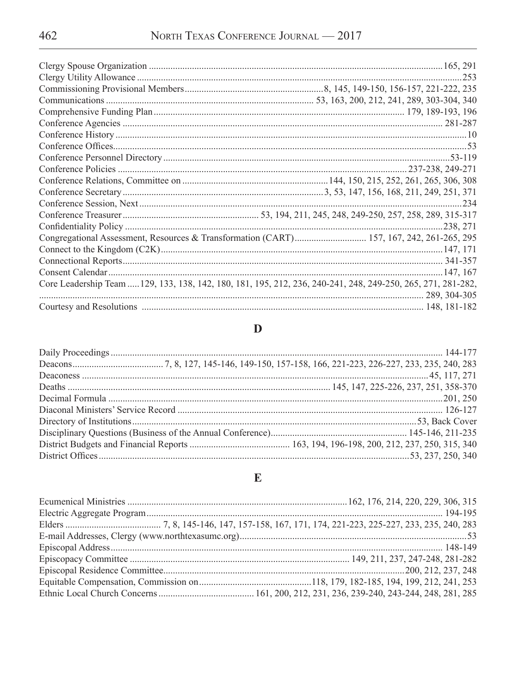|                                                                                                              | 253       |
|--------------------------------------------------------------------------------------------------------------|-----------|
|                                                                                                              |           |
|                                                                                                              |           |
|                                                                                                              |           |
|                                                                                                              |           |
|                                                                                                              |           |
|                                                                                                              |           |
|                                                                                                              |           |
|                                                                                                              |           |
|                                                                                                              |           |
|                                                                                                              |           |
|                                                                                                              | .234      |
|                                                                                                              |           |
|                                                                                                              | .238, 271 |
| Congregational Assessment, Resources & Transformation (CART) 157, 167, 242, 261-265, 295                     |           |
|                                                                                                              |           |
|                                                                                                              |           |
|                                                                                                              |           |
| Core Leadership Team  129, 133, 138, 142, 180, 181, 195, 212, 236, 240-241, 248, 249-250, 265, 271, 281-282, |           |
|                                                                                                              |           |
|                                                                                                              |           |

## $\mathbf{D}$

#### $\mathbf E$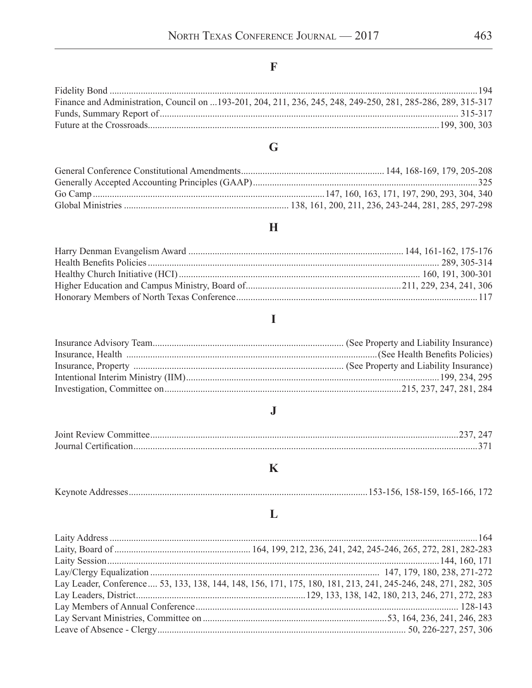# $\mathbf{F}$

| Finance and Administration, Council on 193-201, 204, 211, 236, 245, 248, 249-250, 281, 285-286, 289, 315-317 |  |
|--------------------------------------------------------------------------------------------------------------|--|
|                                                                                                              |  |
|                                                                                                              |  |

# $\overline{\mathbf{G}}$

## $\mathbf H$

# $\overline{I}$

# $\mathbf{J}$

# $\mathbf K$

| Keynote Addresses |  |  |
|-------------------|--|--|

## $\mathbf{L}%$

| Lay Leader, Conference  53, 133, 138, 144, 148, 156, 171, 175, 180, 181, 213, 241, 245-246, 248, 271, 282, 305 |
|----------------------------------------------------------------------------------------------------------------|
|                                                                                                                |
|                                                                                                                |
|                                                                                                                |
|                                                                                                                |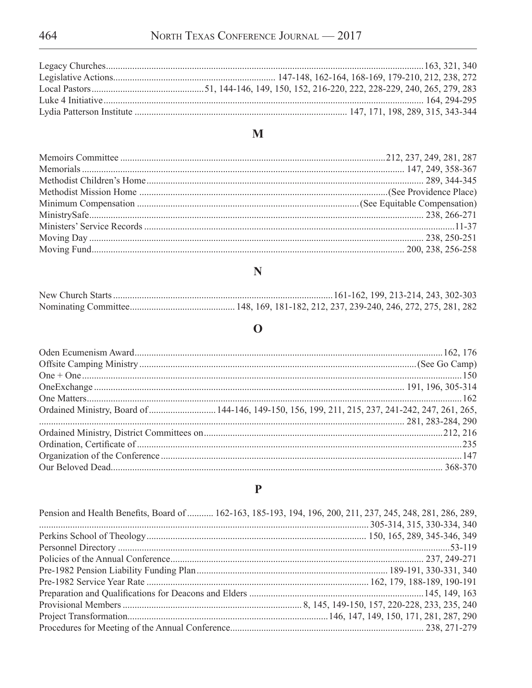## $\mathbf M$

## $\overline{\mathbf{N}}$

## $\mathbf 0$

| Ordained Ministry, Board of  144-146, 149-150, 156, 199, 211, 215, 237, 241-242, 247, 261, 265, |
|-------------------------------------------------------------------------------------------------|
|                                                                                                 |
|                                                                                                 |
|                                                                                                 |
|                                                                                                 |
|                                                                                                 |
|                                                                                                 |

## $\mathbf P$

| Pension and Health Benefits, Board of  162-163, 185-193, 194, 196, 200, 211, 237, 245, 248, 281, 286, 289, |  |
|------------------------------------------------------------------------------------------------------------|--|
|                                                                                                            |  |
|                                                                                                            |  |
|                                                                                                            |  |
|                                                                                                            |  |
|                                                                                                            |  |
|                                                                                                            |  |
|                                                                                                            |  |
|                                                                                                            |  |
|                                                                                                            |  |
|                                                                                                            |  |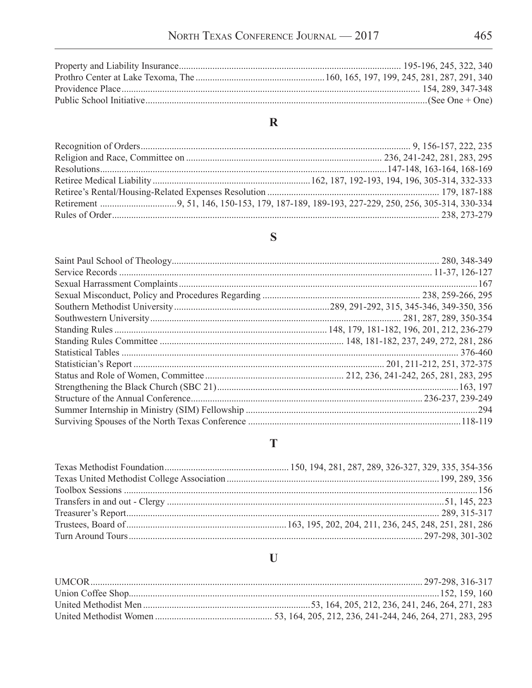## $\overline{\mathbf{R}}$

## $\mathbf S$

#### $\mathbf T$

# $\mathbf{U}$